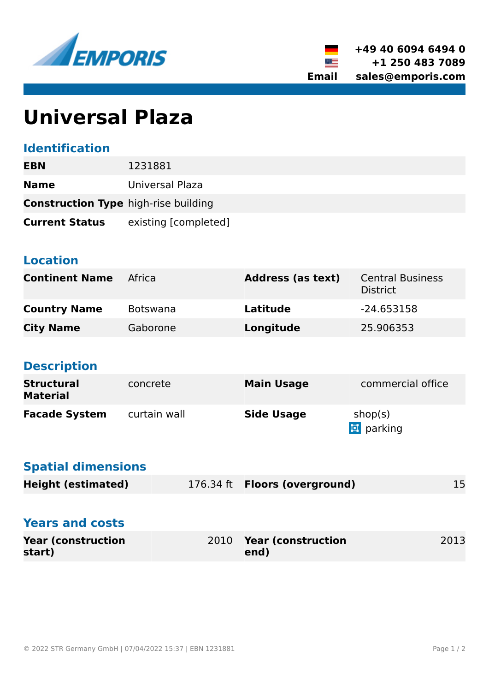



# **Universal Plaza**

### **Identification**

| EBN                                         | 1231881              |  |  |
|---------------------------------------------|----------------------|--|--|
| <b>Name</b>                                 | Universal Plaza      |  |  |
| <b>Construction Type high-rise building</b> |                      |  |  |
| <b>Current Status</b>                       | existing [completed] |  |  |

#### **Location**

| <b>Continent Name</b> | Africa          | <b>Address (as text)</b> | <b>Central Business</b><br><b>District</b> |
|-----------------------|-----------------|--------------------------|--------------------------------------------|
| <b>Country Name</b>   | <b>Botswana</b> | Latitude                 | $-24.653158$                               |
| <b>City Name</b>      | Gaborone        | Longitude                | 25.906353                                  |

## **Description**

| <b>Structural</b><br><b>Material</b> | concrete     | <b>Main Usage</b> | commercial office           |
|--------------------------------------|--------------|-------------------|-----------------------------|
| <b>Facade System</b>                 | curtain wall | <b>Side Usage</b> | shop(s)<br><b>D</b> parking |

#### **Spatial dimensions**

| <b>Height (estimated)</b>           |      | 176.34 ft <b>Floors (overground)</b> | 15   |
|-------------------------------------|------|--------------------------------------|------|
| <b>Years and costs</b>              |      |                                      |      |
| <b>Year (construction</b><br>start) | 2010 | <b>Year (construction</b><br>end)    | 2013 |